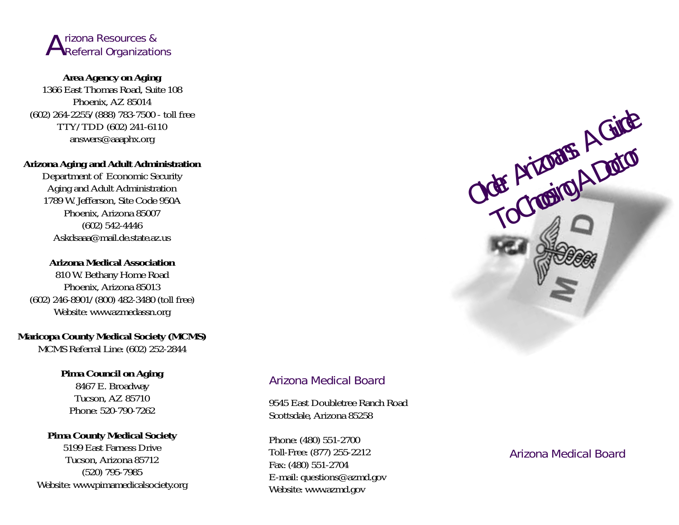

# **Area Agency on Aging**

1366 East Thomas Road, Suite 108 Phoenix, AZ 85014 (602) 264-2255/(888) 783-7500 - toll free TTY/TDD (602) 241-6110 answers@aaaphx.org

#### **Arizona Aging and Adult Administration**

Department of Economic Security Aging and Adult Administration 1789 W. Jefferson, Site Code 950A Phoenix, Arizona 85007 (602) 542-4446 Askdsaaa@mail.de.state.az.us

#### **Arizona Medical Association**

810 W. Bethany Home Road Phoenix, Arizona 85013 (602) 246-8901/(800) 482-3480 (toll free) Website: www.azmedassn.org

# **Maricopa County Medical Society (MCMS)**

MCMS Referral Line: (602) 252-2844

# **Pima Council on Aging**

8467 E. Broadway Tucson, AZ 85710 Phone: 520-790-7262

#### **Pima County Medical Society**

5199 East Farness DriveTucson, Arizona 85712 (520) 795-7985 Website: www.pimamedicalsociety.org

# Arizona Medical Board

9545 East Doubletree Ranch RoadScottsdale, Arizona 85258

Phone: (480) 551-2700 Toll-Free: (877) 255-2212 Fax: (480) 551-2704 E-mail: questions@azmd.gov Website: www.azmd.gov

Arizona Medical Board

Older Arizonans: A Guide

Jer Arizonans. Doctor